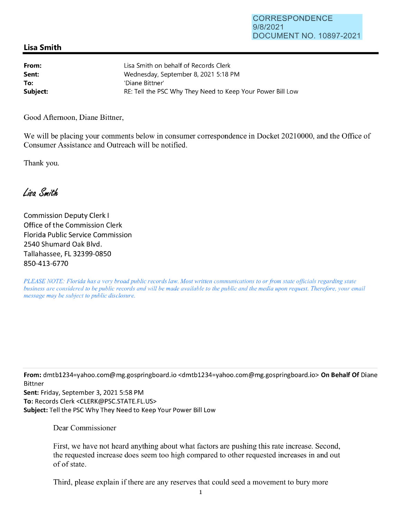## **Lisa Smith**

| From:    | Lisa Smith on behalf of Records Clerk                      |
|----------|------------------------------------------------------------|
| Sent:    | Wednesday, September 8, 2021 5:18 PM                       |
| To:      | 'Diane Bittner'                                            |
| Subject: | RE: Tell the PSC Why They Need to Keep Your Power Bill Low |

Good Afternoon, Diane Bittner,

We will be placing your comments below in consumer correspondence in Docket 20210000, and the Office of Consumer Assistance and Outreach will be notified.

Thank you.

Lisa Smith

Commission Deputy Clerk I Office of the Commission Clerk Florida Public Service Commission 2540 Shumard Oak Blvd. Tallahassee, FL 32399-0850 850-413-6770

*PLEASE NOTE: Florida has a very broad public records law. Most written communications to or from state officials regarding state business are considered to be public records and will be made available to the public and the media upon request. Therefore, your email message may be subject to public disclosure.* 

**From:** dmtb1234=yahoo.com@mg.gospringboard.io <dmtb1234=yahoo.com@mg.gospringboard.io> **On Behalf Of** Diane Bittner

**Sent:** Friday, September 3, 2021 5:58 PM **To:** Records Clerk <CLERK@PSC.STATE.FL.US> **Subject:** Tell the PSC Why They Need to Keep Your Power Bill Low

Dear Commissioner

First, we have not heard anything about what factors are pushing this rate increase. Second, the requested increase does seem too high compared to other requested increases in and out of of state.

Third, please explain if there are any reserves that could seed a movement to bury more